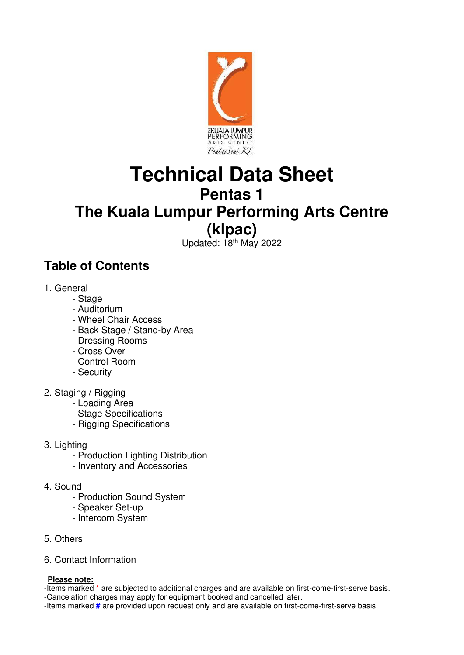

# **Technical Data Sheet**

# **Pentas 1**

# **The Kuala Lumpur Performing Arts Centre**

# **(klpac)**

Updated: 18th May 2022

# **Table of Contents**

- 1. General
	- Stage
	- Auditorium
	- Wheel Chair Access
	- Back Stage / Stand-by Area
	- Dressing Rooms
	- Cross Over
	- Control Room
	- Security
- 2. Staging / Rigging
	- Loading Area
	- Stage Specifications
	- Rigging Specifications
- 3. Lighting
	- Production Lighting Distribution
	- Inventory and Accessories
- 4. Sound
	- Production Sound System
	- Speaker Set-up
	- Intercom System
- 5. Others
- 6. Contact Information

#### **Please note:**

-Items marked **\*** are subjected to additional charges and are available on first-come-first-serve basis.

- -Cancelation charges may apply for equipment booked and cancelled later.
- -Items marked **#** are provided upon request only and are available on first-come-first-serve basis.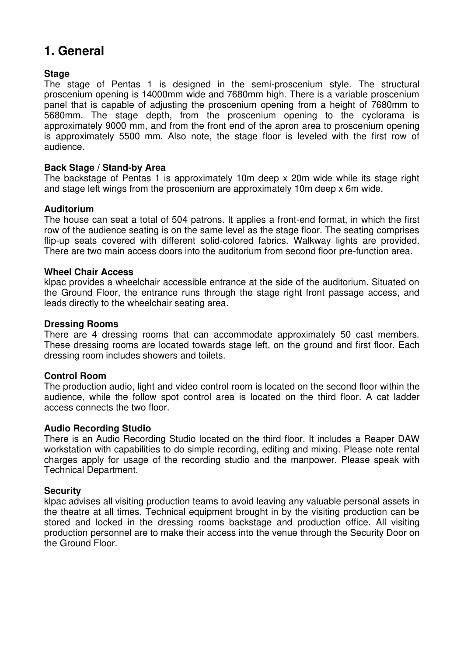### **1. General**

#### **Stage**

The stage of Pentas 1 is designed in the semi-proscenium style. The structural proscenium opening is 14000mm wide and 7680mm high. There is a variable proscenium panel that is capable of adjusting the proscenium opening from a height of 7680mm to 5680mm. The stage depth, from the proscenium opening to the cyclorama is approximately 9000 mm, and from the front end of the apron area to proscenium opening is approximately 5500 mm. Also note, the stage floor is leveled with the first row of audience.

#### **Back Stage / Stand-by Area**

The backstage of Pentas 1 is approximately 10m deep x 20m wide while its stage right and stage left wings from the proscenium are approximately 10m deep x 6m wide.

#### **Auditorium**

The house can seat a total of 504 patrons. It applies a front-end format, in which the first row of the audience seating is on the same level as the stage floor. The seating comprises flip-up seats covered with different solid-colored fabrics. Walkway lights are provided. There are two main access doors into the auditorium from second floor pre-function area.

#### **Wheel Chair Access**

klpac provides a wheelchair accessible entrance at the side of the auditorium. Situated on the Ground Floor, the entrance runs through the stage right front passage access, and leads directly to the wheelchair seating area.

#### **Dressing Rooms**

There are 4 dressing rooms that can accommodate approximately 50 cast members. These dressing rooms are located towards stage left, on the ground and first floor. Each dressing room includes showers and toilets.

#### **Control Room**

The production audio, light and video control room is located on the second floor within the audience, while the follow spot control area is located on the third floor. A cat ladder access connects the two floor.

#### **Audio Recording Studio**

There is an Audio Recording Studio located on the third floor. It includes a Reaper DAW workstation with capabilities to do simple recording, editing and mixing. Please note rental charges apply for usage of the recording studio and the manpower. Please speak with Technical Department.

#### **Security**

klpac advises all visiting production teams to avoid leaving any valuable personal assets in the theatre at all times. Technical equipment brought in by the visiting production can be stored and locked in the dressing rooms backstage and production office. All visiting production personnel are to make their access into the venue through the Security Door on the Ground Floor.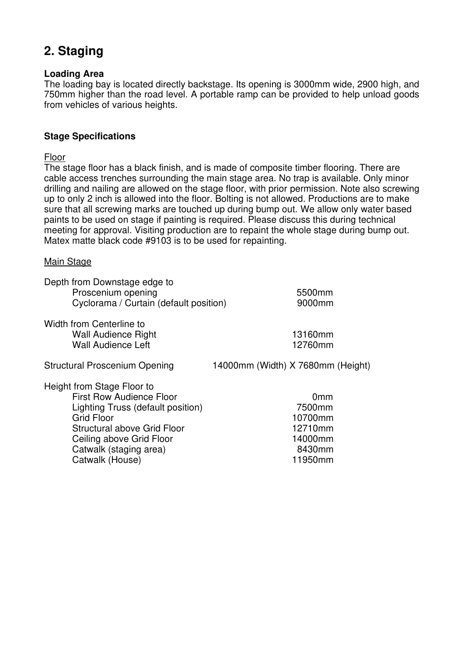# **2. Staging**

#### **Loading Area**

The loading bay is located directly backstage. Its opening is 3000mm wide, 2900 high, and 750mm higher than the road level. A portable ramp can be provided to help unload goods from vehicles of various heights.

#### **Stage Specifications**

#### Floor

The stage floor has a black finish, and is made of composite timber flooring. There are cable access trenches surrounding the main stage area. No trap is available. Only minor drilling and nailing are allowed on the stage floor, with prior permission. Note also screwing up to only 2 inch is allowed into the floor. Bolting is not allowed. Productions are to make sure that all screwing marks are touched up during bump out. We allow only water based paints to be used on stage if painting is required. Please discuss this during technical meeting for approval. Visiting production are to repaint the whole stage during bump out. Matex matte black code #9103 is to be used for repainting.

#### Main Stage

| Depth from Downstage edge to<br>Proscenium opening<br>Cyclorama / Curtain (default position)                                                                                                                                    | 5500mm<br>9000mm                                                                |
|---------------------------------------------------------------------------------------------------------------------------------------------------------------------------------------------------------------------------------|---------------------------------------------------------------------------------|
| Width from Centerline to<br><b>Wall Audience Right</b><br><b>Wall Audience Left</b>                                                                                                                                             | 13160mm<br>12760mm                                                              |
| Structural Proscenium Opening                                                                                                                                                                                                   | 14000mm (Width) X 7680mm (Height)                                               |
| Height from Stage Floor to<br><b>First Row Audience Floor</b><br>Lighting Truss (default position)<br><b>Grid Floor</b><br>Structural above Grid Floor<br>Ceiling above Grid Floor<br>Catwalk (staging area)<br>Catwalk (House) | 0 <sub>mm</sub><br>7500mm<br>10700mm<br>12710mm<br>14000mm<br>8430mm<br>11950mm |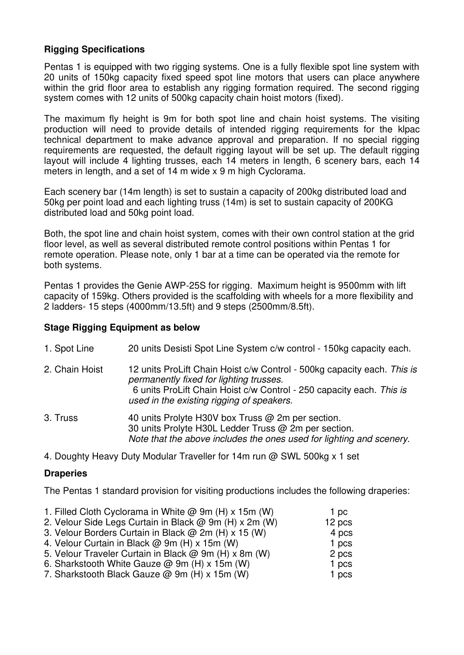#### **Rigging Specifications**

Pentas 1 is equipped with two rigging systems. One is a fully flexible spot line system with 20 units of 150kg capacity fixed speed spot line motors that users can place anywhere within the grid floor area to establish any rigging formation required. The second rigging system comes with 12 units of 500kg capacity chain hoist motors (fixed).

The maximum fly height is 9m for both spot line and chain hoist systems. The visiting production will need to provide details of intended rigging requirements for the klpac technical department to make advance approval and preparation. If no special rigging requirements are requested, the default rigging layout will be set up. The default rigging layout will include 4 lighting trusses, each 14 meters in length, 6 scenery bars, each 14 meters in length, and a set of 14 m wide x 9 m high Cyclorama.

Each scenery bar (14m length) is set to sustain a capacity of 200kg distributed load and 50kg per point load and each lighting truss (14m) is set to sustain capacity of 200KG distributed load and 50kg point load.

Both, the spot line and chain hoist system, comes with their own control station at the grid floor level, as well as several distributed remote control positions within Pentas 1 for remote operation. Please note, only 1 bar at a time can be operated via the remote for both systems.

Pentas 1 provides the Genie AWP-25S for rigging. Maximum height is 9500mm with lift capacity of 159kg. Others provided is the scaffolding with wheels for a more flexibility and 2 ladders- 15 steps (4000mm/13.5ft) and 9 steps (2500mm/8.5ft).

#### **Stage Rigging Equipment as below**

- 1. Spot Line 20 units Desisti Spot Line System c/w control 150kg capacity each. 2. Chain Hoist 12 units ProLift Chain Hoist c/w Control - 500kg capacity each. This is permanently fixed for lighting trusses. 6 units ProLift Chain Hoist c/w Control - 250 capacity each. This is used in the existing rigging of speakers. 3. Truss 40 units Prolyte H30V box Truss @ 2m per section. 30 units Prolyte H30L Ledder Truss @ 2m per section. Note that the above includes the ones used for lighting and scenery.
- 4. Doughty Heavy Duty Modular Traveller for 14m run @ SWL 500kg x 1 set

#### **Draperies**

The Pentas 1 standard provision for visiting productions includes the following draperies:

| 1. Filled Cloth Cyclorama in White $@$ 9m (H) x 15m (W) | 1 pc   |
|---------------------------------------------------------|--------|
| 2. Velour Side Legs Curtain in Black @ 9m (H) x 2m (W)  | 12 pcs |
| 3. Velour Borders Curtain in Black @ 2m (H) x 15 (W)    | 4 pcs  |
| 4. Velour Curtain in Black @ 9m (H) x 15m (W)           | 1 pcs  |
| 5. Velour Traveler Curtain in Black @ 9m (H) x 8m (W)   | 2 pcs  |
| 6. Sharkstooth White Gauze $@$ 9m (H) x 15m (W)         | 1 pcs  |
| 7. Sharkstooth Black Gauze @ 9m (H) x 15m (W)           | 1 pcs  |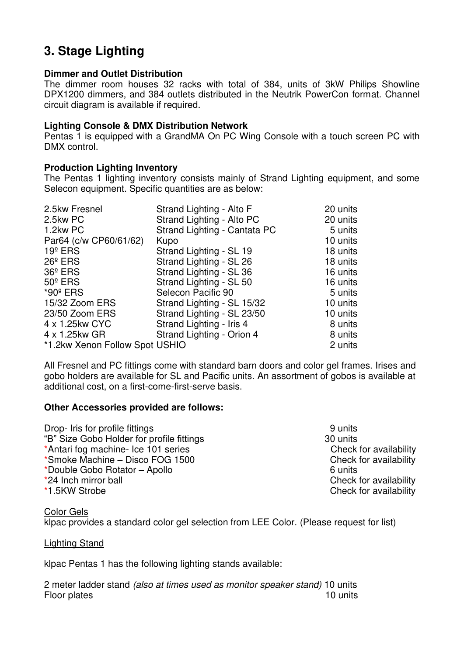# **3. Stage Lighting**

#### **Dimmer and Outlet Distribution**

The dimmer room houses 32 racks with total of 384, units of 3kW Philips Showline DPX1200 dimmers, and 384 outlets distributed in the Neutrik PowerCon format. Channel circuit diagram is available if required.

#### **Lighting Console & DMX Distribution Network**

Pentas 1 is equipped with a GrandMA On PC Wing Console with a touch screen PC with DMX control.

#### **Production Lighting Inventory**

The Pentas 1 lighting inventory consists mainly of Strand Lighting equipment, and some Selecon equipment. Specific quantities are as below:

| 2.5kw Fresnel                  | Strand Lighting - Alto F     | 20 units |
|--------------------------------|------------------------------|----------|
| 2.5kw PC                       | Strand Lighting - Alto PC    | 20 units |
| 1.2kw PC                       | Strand Lighting - Cantata PC | 5 units  |
| Par64 (c/w CP60/61/62)         | Kupo                         | 10 units |
| $19°$ ERS                      | Strand Lighting - SL 19      | 18 units |
| $26^{\circ}$ ERS               | Strand Lighting - SL 26      | 18 units |
| $36^{\circ}$ ERS               | Strand Lighting - SL 36      | 16 units |
| $50^{\circ}$ ERS               | Strand Lighting - SL 50      | 16 units |
| $*90^{\circ}$ ERS              | Selecon Pacific 90           | 5 units  |
| 15/32 Zoom ERS                 | Strand Lighting - SL 15/32   | 10 units |
| 23/50 Zoom ERS                 | Strand Lighting - SL 23/50   | 10 units |
| 4 x 1.25kw CYC                 | Strand Lighting - Iris 4     | 8 units  |
| 4 x 1.25kw GR                  | Strand Lighting - Orion 4    | 8 units  |
| *1.2kw Xenon Follow Spot USHIO |                              | 2 units  |

All Fresnel and PC fittings come with standard barn doors and color gel frames. Irises and gobo holders are available for SL and Pacific units. An assortment of gobos is available at additional cost, on a first-come-first-serve basis.

#### **Other Accessories provided are follows:**

Drop- Iris for profile fittings 9 units "B" Size Gobo Holder for profile fittings 30 units \*Antari fog machine- Ice 101 series Theorem Check for availability \*Smoke Machine – Disco FOG 1500 Check for availability \*Double Gobo Rotator – Apollo 6 units<br>
1994 Inch mirror ball 6 units<br>
1995 Check \*24 Inch mirror ball Check for availability

Check for availability

#### Color Gels

klpac provides a standard color gel selection from LEE Color. (Please request for list)

#### Lighting Stand

klpac Pentas 1 has the following lighting stands available:

2 meter ladder stand (also at times used as monitor speaker stand) 10 units Floor plates 10 units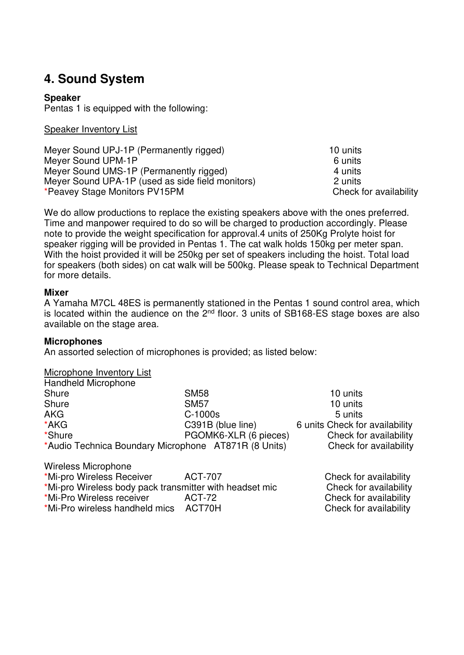## **4. Sound System**

#### **Speaker**

Pentas 1 is equipped with the following:

#### Speaker Inventory List

Meyer Sound UPJ-1P (Permanently rigged) 10 units Meyer Sound UPM-1P 6 units Meyer Sound UMS-1P (Permanently rigged) 4 units Meyer Sound UPA-1P (used as side field monitors) 2 units \*Peavey Stage Monitors PV15PM **Check for availability** 

We do allow productions to replace the existing speakers above with the ones preferred. Time and manpower required to do so will be charged to production accordingly. Please note to provide the weight specification for approval.4 units of 250Kg Prolyte hoist for speaker rigging will be provided in Pentas 1. The cat walk holds 150kg per meter span. With the hoist provided it will be 250kg per set of speakers including the hoist. Total load for speakers (both sides) on cat walk will be 500kg. Please speak to Technical Department for more details.

#### **Mixer**

A Yamaha M7CL 48ES is permanently stationed in the Pentas 1 sound control area, which is located within the audience on the 2<sup>nd</sup> floor. 3 units of SB168-ES stage boxes are also available on the stage area.

#### **Microphones**

An assorted selection of microphones is provided; as listed below:

#### Microphone Inventory List

| Handheld Microphone |                                                      |                                |
|---------------------|------------------------------------------------------|--------------------------------|
| Shure               | <b>SM58</b>                                          | 10 units                       |
| Shure               | <b>SM57</b>                                          | 10 units                       |
| <b>AKG</b>          | C-1000s                                              | 5 units                        |
| *AKG                | C391B (blue line)                                    | 6 units Check for availability |
| *Shure              | PGOMK6-XLR (6 pieces)                                | Check for availability         |
|                     | *Audio Technica Boundary Microphone AT871R (8 Units) | Check for availability         |
|                     |                                                      |                                |

Wireless Microphone

\*Mi-pro Wireless Receiver ACT-707 Check for availability \*Mi-pro Wireless body pack transmitter with headset mic Check for availability<br>\*Mi-Pro Wireless receiver ACT-72 \*Mi-Pro Wireless receiver \*Mi-Pro wireless handheld mics ACT70H Check for availability